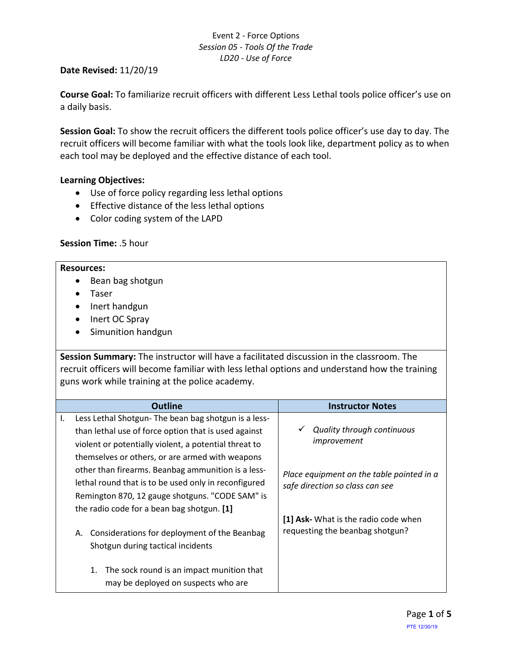## **Date Revised:** 11/20/19

**Course Goal:** To familiarize recruit officers with different Less Lethal tools police officer's use on a daily basis.

**Session Goal:** To show the recruit officers the different tools police officer's use day to day. The recruit officers will become familiar with what the tools look like, department policy as to when each tool may be deployed and the effective distance of each tool.

## **Learning Objectives:**

- Use of force policy regarding less lethal options
- Effective distance of the less lethal options
- Color coding system of the LAPD

# **Session Time:** .5 hour

### **Resources:**

- Bean bag shotgun
- Taser
- Inert handgun
- Inert OC Spray
- Simunition handgun

**Session Summary:** The instructor will have a facilitated discussion in the classroom. The recruit officers will become familiar with less lethal options and understand how the training guns work while training at the police academy.

|    | <b>Outline</b>                                        | <b>Instructor Notes</b>                   |  |  |
|----|-------------------------------------------------------|-------------------------------------------|--|--|
| Ι. | Less Lethal Shotgun-The bean bag shotgun is a less-   |                                           |  |  |
|    | than lethal use of force option that is used against  | <b>Quality through continuous</b>         |  |  |
|    | violent or potentially violent, a potential threat to | improvement                               |  |  |
|    | themselves or others, or are armed with weapons       |                                           |  |  |
|    | other than firearms. Beanbag ammunition is a less-    | Place equipment on the table pointed in a |  |  |
|    | lethal round that is to be used only in reconfigured  | safe direction so class can see           |  |  |
|    | Remington 870, 12 gauge shotguns. "CODE SAM" is       |                                           |  |  |
|    | the radio code for a bean bag shotgun. [1]            |                                           |  |  |
|    |                                                       | [1] Ask- What is the radio code when      |  |  |
|    | Considerations for deployment of the Beanbag<br>А.    | requesting the beanbag shotgun?           |  |  |
|    | Shotgun during tactical incidents                     |                                           |  |  |
|    |                                                       |                                           |  |  |
|    | The sock round is an impact munition that<br>1.       |                                           |  |  |
|    | may be deployed on suspects who are                   |                                           |  |  |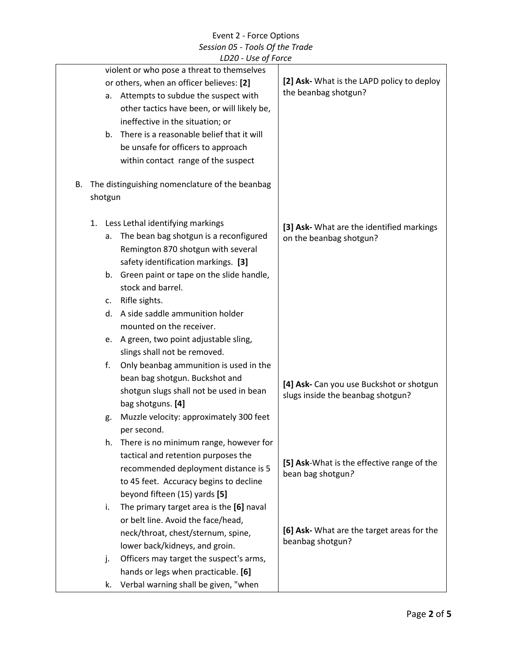| LDZU - OSE OJ FOILE                                                                    |                                                                               |
|----------------------------------------------------------------------------------------|-------------------------------------------------------------------------------|
| violent or who pose a threat to themselves<br>or others, when an officer believes: [2] | [2] Ask- What is the LAPD policy to deploy                                    |
| Attempts to subdue the suspect with                                                    | the beanbag shotgun?                                                          |
| а.<br>other tactics have been, or will likely be,                                      |                                                                               |
|                                                                                        |                                                                               |
| ineffective in the situation; or<br>There is a reasonable belief that it will<br>b.    |                                                                               |
| be unsafe for officers to approach                                                     |                                                                               |
| within contact range of the suspect                                                    |                                                                               |
| The distinguishing nomenclature of the beanbag<br>В.                                   |                                                                               |
|                                                                                        |                                                                               |
| shotgun                                                                                |                                                                               |
| Less Lethal identifying markings<br>1.                                                 | [3] Ask- What are the identified markings                                     |
| The bean bag shotgun is a reconfigured<br>а.                                           | on the beanbag shotgun?                                                       |
| Remington 870 shotgun with several                                                     |                                                                               |
| safety identification markings. [3]                                                    |                                                                               |
| Green paint or tape on the slide handle,<br>b.                                         |                                                                               |
| stock and barrel.                                                                      |                                                                               |
| Rifle sights.<br>c.                                                                    |                                                                               |
| A side saddle ammunition holder<br>d.                                                  |                                                                               |
| mounted on the receiver.                                                               |                                                                               |
| A green, two point adjustable sling,<br>e.                                             |                                                                               |
| slings shall not be removed.                                                           |                                                                               |
| f.<br>Only beanbag ammunition is used in the                                           |                                                                               |
| bean bag shotgun. Buckshot and                                                         |                                                                               |
| shotgun slugs shall not be used in bean                                                | [4] Ask- Can you use Buckshot or shotgun<br>slugs inside the beanbag shotgun? |
| bag shotguns. [4]                                                                      |                                                                               |
| Muzzle velocity: approximately 300 feet<br>g.                                          |                                                                               |
| per second.                                                                            |                                                                               |
| There is no minimum range, however for<br>h.                                           |                                                                               |
| tactical and retention purposes the                                                    |                                                                               |
| recommended deployment distance is 5                                                   | [5] Ask-What is the effective range of the<br>bean bag shotgun?               |
| to 45 feet. Accuracy begins to decline                                                 |                                                                               |
| beyond fifteen (15) yards [5]                                                          |                                                                               |
| The primary target area is the [6] naval<br>i.                                         |                                                                               |
| or belt line. Avoid the face/head,                                                     |                                                                               |
| neck/throat, chest/sternum, spine,                                                     | [6] Ask- What are the target areas for the                                    |
| lower back/kidneys, and groin.                                                         | beanbag shotgun?                                                              |
| Officers may target the suspect's arms,<br>j.                                          |                                                                               |
| hands or legs when practicable. [6]                                                    |                                                                               |
| Verbal warning shall be given, "when<br>k.                                             |                                                                               |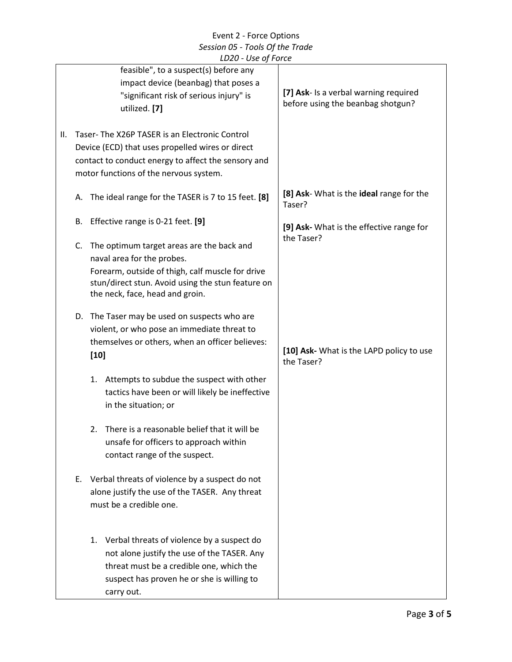|    | Session 05 - Tools Of the Trade                                                                     |                                                       |                                                        |  |  |
|----|-----------------------------------------------------------------------------------------------------|-------------------------------------------------------|--------------------------------------------------------|--|--|
|    | LD20 - Use of Force                                                                                 |                                                       |                                                        |  |  |
|    |                                                                                                     | feasible", to a suspect(s) before any                 |                                                        |  |  |
|    |                                                                                                     | impact device (beanbag) that poses a                  |                                                        |  |  |
|    |                                                                                                     | "significant risk of serious injury" is               | [7] Ask- Is a verbal warning required                  |  |  |
|    |                                                                                                     | utilized. [7]                                         | before using the beanbag shotgun?                      |  |  |
|    |                                                                                                     |                                                       |                                                        |  |  |
| Ш. |                                                                                                     | Taser-The X26P TASER is an Electronic Control         |                                                        |  |  |
|    |                                                                                                     | Device (ECD) that uses propelled wires or direct      |                                                        |  |  |
|    |                                                                                                     | contact to conduct energy to affect the sensory and   |                                                        |  |  |
|    |                                                                                                     | motor functions of the nervous system.                |                                                        |  |  |
|    |                                                                                                     |                                                       |                                                        |  |  |
|    |                                                                                                     | A. The ideal range for the TASER is 7 to 15 feet. [8] | [8] Ask- What is the ideal range for the<br>Taser?     |  |  |
|    | В.                                                                                                  | Effective range is 0-21 feet. [9]                     |                                                        |  |  |
|    |                                                                                                     |                                                       | [9] Ask- What is the effective range for<br>the Taser? |  |  |
|    | C.                                                                                                  | The optimum target areas are the back and             |                                                        |  |  |
|    |                                                                                                     | naval area for the probes.                            |                                                        |  |  |
|    |                                                                                                     | Forearm, outside of thigh, calf muscle for drive      |                                                        |  |  |
|    |                                                                                                     | stun/direct stun. Avoid using the stun feature on     |                                                        |  |  |
|    |                                                                                                     | the neck, face, head and groin.                       |                                                        |  |  |
|    |                                                                                                     |                                                       |                                                        |  |  |
|    |                                                                                                     | D. The Taser may be used on suspects who are          |                                                        |  |  |
|    |                                                                                                     | violent, or who pose an immediate threat to           |                                                        |  |  |
|    |                                                                                                     | themselves or others, when an officer believes:       | [10] Ask- What is the LAPD policy to use               |  |  |
|    |                                                                                                     | $[10]$                                                | the Taser?                                             |  |  |
|    |                                                                                                     |                                                       |                                                        |  |  |
|    |                                                                                                     | Attempts to subdue the suspect with other<br>1.       |                                                        |  |  |
|    |                                                                                                     | tactics have been or will likely be ineffective       |                                                        |  |  |
|    |                                                                                                     | in the situation; or                                  |                                                        |  |  |
|    |                                                                                                     |                                                       |                                                        |  |  |
|    |                                                                                                     | There is a reasonable belief that it will be<br>2.    |                                                        |  |  |
|    |                                                                                                     | unsafe for officers to approach within                |                                                        |  |  |
|    |                                                                                                     | contact range of the suspect.                         |                                                        |  |  |
|    |                                                                                                     |                                                       |                                                        |  |  |
|    | E. Verbal threats of violence by a suspect do not<br>alone justify the use of the TASER. Any threat |                                                       |                                                        |  |  |
|    |                                                                                                     | must be a credible one.                               |                                                        |  |  |
|    |                                                                                                     |                                                       |                                                        |  |  |
|    |                                                                                                     |                                                       |                                                        |  |  |
|    |                                                                                                     | 1. Verbal threats of violence by a suspect do         |                                                        |  |  |
|    |                                                                                                     | not alone justify the use of the TASER. Any           |                                                        |  |  |
|    |                                                                                                     | threat must be a credible one, which the              |                                                        |  |  |
|    |                                                                                                     | suspect has proven he or she is willing to            |                                                        |  |  |
|    |                                                                                                     |                                                       |                                                        |  |  |
|    |                                                                                                     | carry out.                                            |                                                        |  |  |

Event 2 - Force Options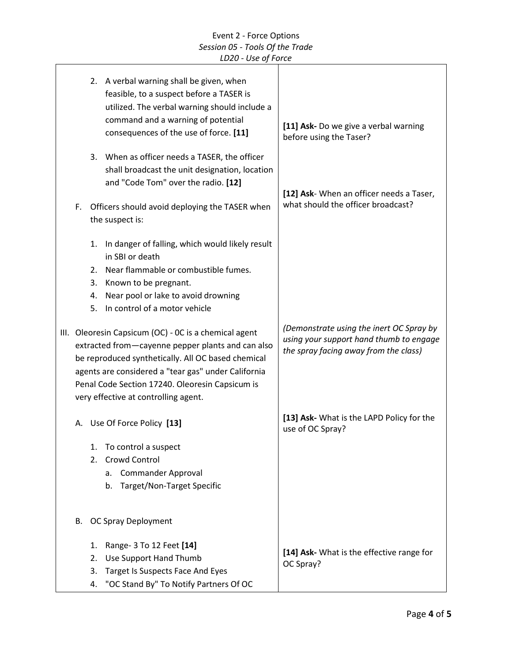|                                                                                                                                                                                                                                                                                                                    |                      | 2. A verbal warning shall be given, when<br>feasible, to a suspect before a TASER is<br>utilized. The verbal warning should include a<br>command and a warning of potential<br>consequences of the use of force. [11]<br>3. When as officer needs a TASER, the officer<br>shall broadcast the unit designation, location | [11] Ask- Do we give a verbal warning<br>before using the Taser?                                                             |
|--------------------------------------------------------------------------------------------------------------------------------------------------------------------------------------------------------------------------------------------------------------------------------------------------------------------|----------------------|--------------------------------------------------------------------------------------------------------------------------------------------------------------------------------------------------------------------------------------------------------------------------------------------------------------------------|------------------------------------------------------------------------------------------------------------------------------|
| and "Code Tom" over the radio. [12]<br>Officers should avoid deploying the TASER when<br>F.<br>the suspect is:                                                                                                                                                                                                     |                      |                                                                                                                                                                                                                                                                                                                          | [12] Ask- When an officer needs a Taser,<br>what should the officer broadcast?                                               |
|                                                                                                                                                                                                                                                                                                                    | 3.<br>4.             | 1. In danger of falling, which would likely result<br>in SBI or death<br>2. Near flammable or combustible fumes.<br>Known to be pregnant.<br>Near pool or lake to avoid drowning<br>5. In control of a motor vehicle                                                                                                     |                                                                                                                              |
| III. Oleoresin Capsicum (OC) - OC is a chemical agent<br>extracted from-cayenne pepper plants and can also<br>be reproduced synthetically. All OC based chemical<br>agents are considered a "tear gas" under California<br>Penal Code Section 17240. Oleoresin Capsicum is<br>very effective at controlling agent. |                      |                                                                                                                                                                                                                                                                                                                          | (Demonstrate using the inert OC Spray by<br>using your support hand thumb to engage<br>the spray facing away from the class) |
| А.                                                                                                                                                                                                                                                                                                                 | 1.<br>2.             | Use Of Force Policy [13]<br>To control a suspect<br>Crowd Control<br>a. Commander Approval<br>Target/Non-Target Specific<br>b.                                                                                                                                                                                           | [13] Ask- What is the LAPD Policy for the<br>use of OC Spray?                                                                |
| В.                                                                                                                                                                                                                                                                                                                 | 1.<br>2.<br>3.<br>4. | OC Spray Deployment<br>Range- 3 To 12 Feet [14]<br>Use Support Hand Thumb<br>Target Is Suspects Face And Eyes<br>"OC Stand By" To Notify Partners Of OC                                                                                                                                                                  | [14] Ask- What is the effective range for<br>OC Spray?                                                                       |